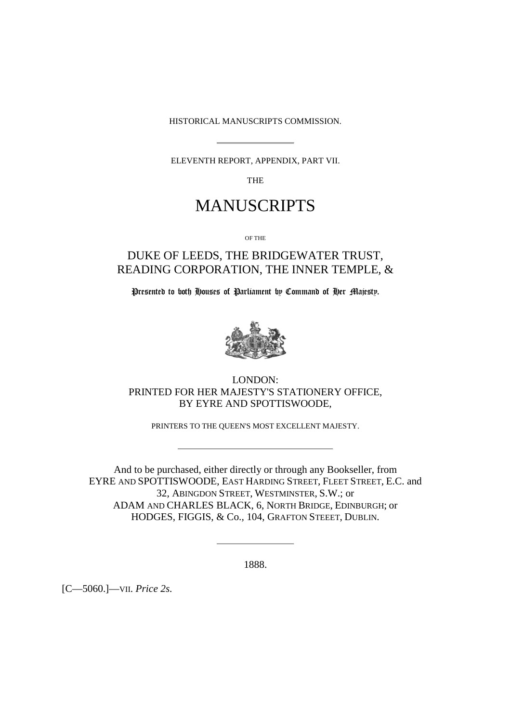HISTORICAL MANUSCRIPTS COMMISSION.

ELEVENTH REPORT, APPENDIX, PART VII.

THE

## MANUSCRIPTS

OF THE

### DUKE OF LEEDS, THE BRIDGEWATER TRUST, READING CORPORATION, THE INNER TEMPLE, &

Presented to both Houses of Parliament by Command of Her Majesty.



LONDON: PRINTED FOR HER MAJESTY'S STATIONERY OFFICE, BY EYRE AND SPOTTISWOODE,

PRINTERS TO THE QUEEN'S MOST EXCELLENT MAJESTY.

And to be purchased, either directly or through any Bookseller, from EYRE AND SPOTTISWOODE, EAST HARDING STREET, FLEET STREET, E.C. and 32, ABINGDON STREET, WESTMINSTER, S.W.; or ADAM AND CHARLES BLACK, 6, NORTH BRIDGE, EDINBURGH; or HODGES, FIGGIS, & Co.*,* 104, GRAFTON STEEET, DUBLIN.

1888.

[C—5060.]—VII. *Price 2s.*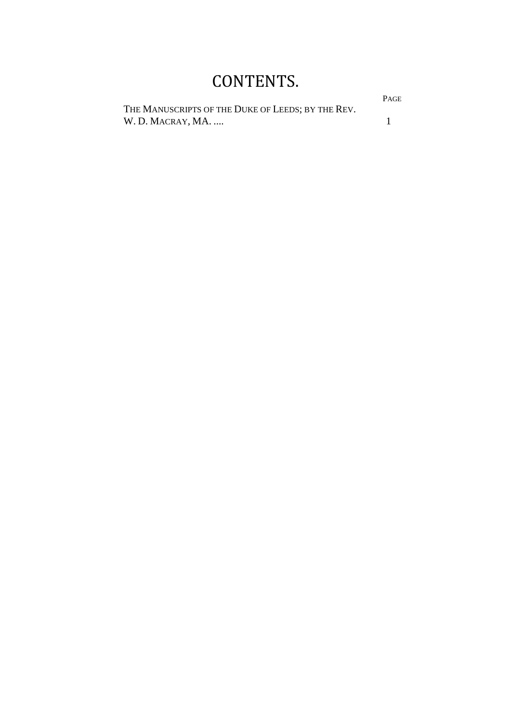# CONTENTS.

THE MANUSCRIPTS OF THE DUKE OF LEEDS; BY THE REV. W. D. MACRAY, MA. .... 1

PAGE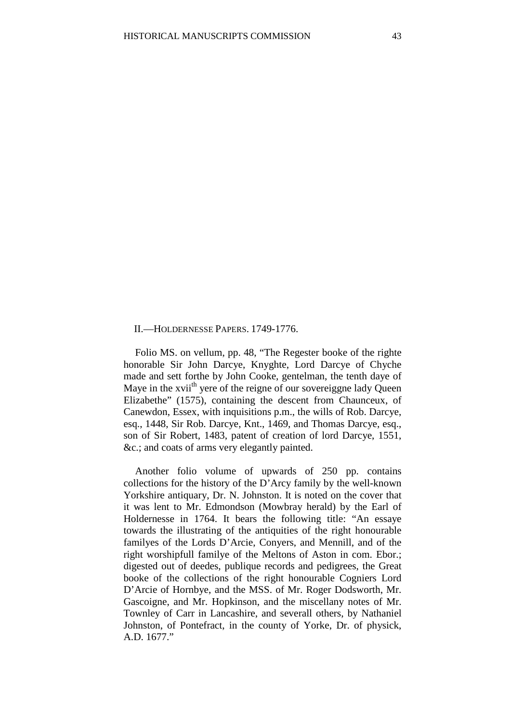### II.—HOLDERNESSE PAPERS. 1749-1776.

Folio MS. on vellum, pp. 48, "The Regester booke of the righte honorable Sir John Darcye, Knyghte, Lord Darcye of Chyche made and sett forthe by John Cooke, gentelman, the tenth daye of Maye in the xvii<sup>th</sup> yere of the reigne of our sovereiggne lady Queen Elizabethe" (1575), containing the descent from Chaunceux, of Canewdon, Essex, with inquisitions p.m., the wills of Rob. Darcye, esq., 1448, Sir Rob. Darcye, Knt., 1469, and Thomas Darcye, esq., son of Sir Robert, 1483, patent of creation of lord Darcye, 1551, &c.; and coats of arms very elegantly painted.

Another folio volume of upwards of 250 pp. contains collections for the history of the D'Arcy family by the well-known Yorkshire antiquary, Dr. N. Johnston. It is noted on the cover that it was lent to Mr. Edmondson (Mowbray herald) by the Earl of Holdernesse in 1764. It bears the following title: "An essaye towards the illustrating of the antiquities of the right honourable familyes of the Lords D'Arcie, Conyers, and Mennill, and of the right worshipfull familye of the Meltons of Aston in com. Ebor.; digested out of deedes, publique records and pedigrees, the Great booke of the collections of the right honourable Cogniers Lord D'Arcie of Hornbye, and the MSS. of Mr. Roger Dodsworth, Mr. Gascoigne, and Mr. Hopkinson, and the miscellany notes of Mr. Townley of Carr in Lancashire, and severall others, by Nathaniel Johnston, of Pontefract, in the county of Yorke, Dr. of physick, A.D. 1677."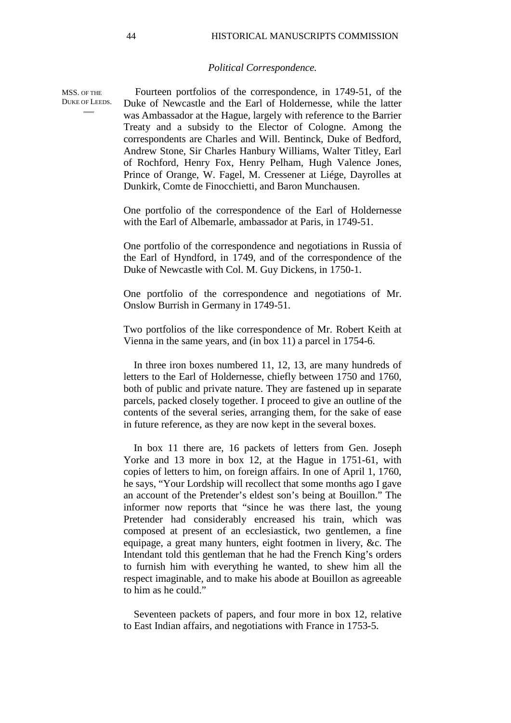#### *Political Correspondence.*

Fourteen portfolios of the correspondence, in 1749-51, of the Duke of Newcastle and the Earl of Holdernesse, while the latter was Ambassador at the Hague, largely with reference to the Barrier Treaty and a subsidy to the Elector of Cologne. Among the correspondents are Charles and Will. Bentinck, Duke of Bedford, Andrew Stone, Sir Charles Hanbury Williams, Walter Titley, Earl of Rochford, Henry Fox, Henry Pelham, Hugh Valence Jones, Prince of Orange, W. Fagel, M. Cressener at Liége, Dayrolles at Dunkirk, Comte de Finocchietti, and Baron Munchausen. DUKE OF LEEDS.

> One portfolio of the correspondence of the Earl of Holdernesse with the Earl of Albemarle, ambassador at Paris, in 1749-51.

> One portfolio of the correspondence and negotiations in Russia of the Earl of Hyndford, in 1749, and of the correspondence of the Duke of Newcastle with Col. M. Guy Dickens, in 1750-1.

> One portfolio of the correspondence and negotiations of Mr. Onslow Burrish in Germany in 1749-51.

> Two portfolios of the like correspondence of Mr. Robert Keith at Vienna in the same years, and (in box 11) a parcel in 1754-6.

> In three iron boxes numbered 11, 12, 13, are many hundreds of letters to the Earl of Holdernesse, chiefly between 1750 and 1760, both of public and private nature. They are fastened up in separate parcels, packed closely together. I proceed to give an outline of the contents of the several series, arranging them, for the sake of ease in future reference, as they are now kept in the several boxes.

> In box 11 there are, 16 packets of letters from Gen. Joseph Yorke and 13 more in box 12, at the Hague in 1751-61, with copies of letters to him, on foreign affairs. In one of April 1, 1760, he says, "Your Lordship will recollect that some months ago I gave an account of the Pretender's eldest son's being at Bouillon." The informer now reports that "since he was there last, the young Pretender had considerably encreased his train, which was composed at present of an ecclesiastick, two gentlemen, a fine equipage, a great many hunters, eight footmen in livery, &c. The Intendant told this gentleman that he had the French King's orders to furnish him with everything he wanted, to shew him all the respect imaginable, and to make his abode at Bouillon as agreeable to him as he could."

> Seventeen packets of papers, and four more in box 12, relative to East Indian affairs, and negotiations with France in 1753-5.

MSS. OF THE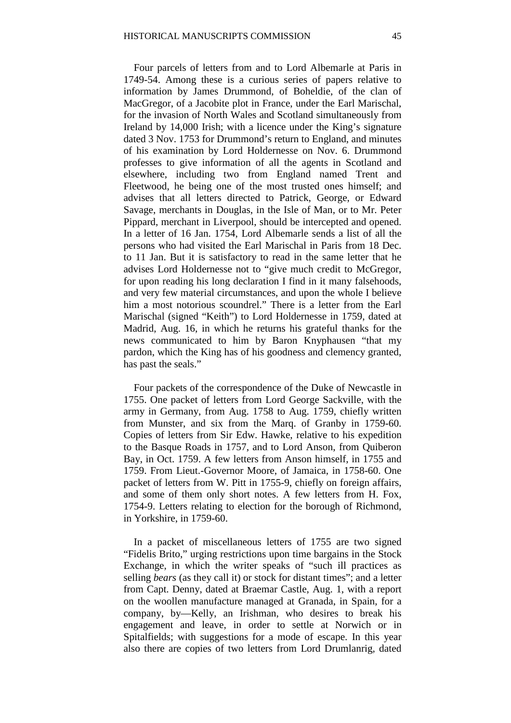Four parcels of letters from and to Lord Albemarle at Paris in 1749-54. Among these is a curious series of papers relative to information by James Drummond, of Boheldie, of the clan of MacGregor, of a Jacobite plot in France, under the Earl Marischal, for the invasion of North Wales and Scotland simultaneously from Ireland by 14,000 Irish; with a licence under the King's signature dated 3 Nov. 1753 for Drummond's return to England, and minutes of his examination by Lord Holdernesse on Nov. 6. Drummond professes to give information of all the agents in Scotland and elsewhere, including two from England named Trent and Fleetwood, he being one of the most trusted ones himself; and advises that all letters directed to Patrick, George, or Edward Savage, merchants in Douglas, in the Isle of Man, or to Mr. Peter Pippard, merchant in Liverpool, should be intercepted and opened. In a letter of 16 Jan. 1754, Lord Albemarle sends a list of all the persons who had visited the Earl Marischal in Paris from 18 Dec. to 11 Jan. But it is satisfactory to read in the same letter that he advises Lord Holdernesse not to "give much credit to McGregor, for upon reading his long declaration I find in it many falsehoods, and very few material circumstances, and upon the whole I believe him a most notorious scoundrel." There is a letter from the Earl Marischal (signed "Keith") to Lord Holdernesse in 1759, dated at Madrid, Aug. 16, in which he returns his grateful thanks for the news communicated to him by Baron Knyphausen "that my pardon, which the King has of his goodness and clemency granted, has past the seals."

Four packets of the correspondence of the Duke of Newcastle in 1755. One packet of letters from Lord George Sackville, with the army in Germany, from Aug. 1758 to Aug. 1759, chiefly written from Munster, and six from the Marq. of Granby in 1759-60. Copies of letters from Sir Edw. Hawke, relative to his expedition to the Basque Roads in 1757, and to Lord Anson, from Quiberon Bay, in Oct. 1759. A few letters from Anson himself, in 1755 and 1759. From Lieut.-Governor Moore, of Jamaica, in 1758-60. One packet of letters from W. Pitt in 1755-9, chiefly on foreign affairs, and some of them only short notes. A few letters from H. Fox, 1754-9. Letters relating to election for the borough of Richmond, in Yorkshire, in 1759-60.

In a packet of miscellaneous letters of 1755 are two signed "Fidelis Brito," urging restrictions upon time bargains in the Stock Exchange, in which the writer speaks of "such ill practices as selling *bears* (as they call it) or stock for distant times"; and a letter from Capt. Denny, dated at Braemar Castle, Aug. 1, with a report on the woollen manufacture managed at Granada, in Spain, for a company, by—Kelly, an Irishman, who desires to break his engagement and leave, in order to settle at Norwich or in Spitalfields; with suggestions for a mode of escape. In this year also there are copies of two letters from Lord Drumlanrig, dated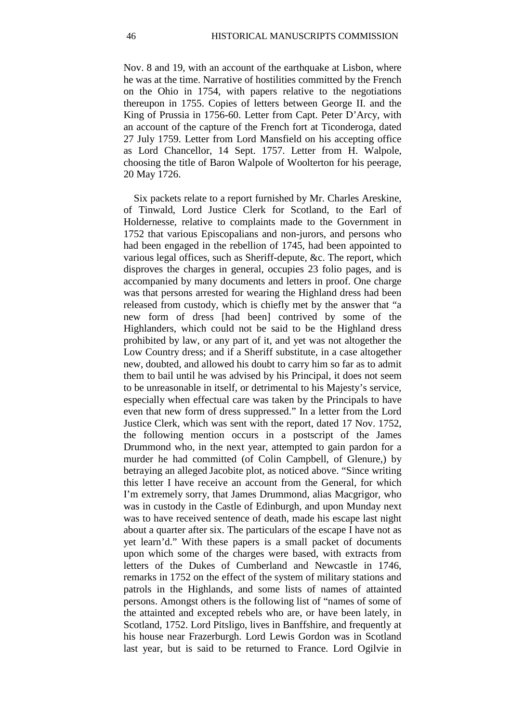Nov. 8 and 19, with an account of the earthquake at Lisbon, where he was at the time. Narrative of hostilities committed by the French on the Ohio in 1754, with papers relative to the negotiations thereupon in 1755. Copies of letters between George II. and the King of Prussia in 1756-60. Letter from Capt. Peter D'Arcy, with an account of the capture of the French fort at Ticonderoga, dated 27 July 1759. Letter from Lord Mansfield on his accepting office as Lord Chancellor, 14 Sept. 1757. Letter from H. Walpole, choosing the title of Baron Walpole of Woolterton for his peerage, 20 May 1726.

Six packets relate to a report furnished by Mr. Charles Areskine, of Tinwald, Lord Justice Clerk for Scotland, to the Earl of Holdernesse, relative to complaints made to the Government in 1752 that various Episcopalians and non-jurors, and persons who had been engaged in the rebellion of 1745, had been appointed to various legal offices, such as Sheriff-depute, &c. The report, which disproves the charges in general, occupies 23 folio pages, and is accompanied by many documents and letters in proof. One charge was that persons arrested for wearing the Highland dress had been released from custody, which is chiefly met by the answer that "a new form of dress [had been] contrived by some of the Highlanders, which could not be said to be the Highland dress prohibited by law, or any part of it, and yet was not altogether the Low Country dress; and if a Sheriff substitute, in a case altogether new, doubted, and allowed his doubt to carry him so far as to admit them to bail until he was advised by his Principal, it does not seem to be unreasonable in itself, or detrimental to his Majesty's service, especially when effectual care was taken by the Principals to have even that new form of dress suppressed." In a letter from the Lord Justice Clerk, which was sent with the report, dated 17 Nov. 1752, the following mention occurs in a postscript of the James Drummond who, in the next year, attempted to gain pardon for a murder he had committed (of Colin Campbell, of Glenure,) by betraying an alleged Jacobite plot, as noticed above. "Since writing this letter I have receive an account from the General, for which I'm extremely sorry, that James Drummond, alias Macgrigor, who was in custody in the Castle of Edinburgh, and upon Munday next was to have received sentence of death, made his escape last night about a quarter after six. The particulars of the escape I have not as yet learn'd." With these papers is a small packet of documents upon which some of the charges were based, with extracts from letters of the Dukes of Cumberland and Newcastle in 1746, remarks in 1752 on the effect of the system of military stations and patrols in the Highlands, and some lists of names of attainted persons. Amongst others is the following list of "names of some of the attainted and excepted rebels who are, or have been lately, in Scotland, 1752. Lord Pitsligo, lives in Banffshire, and frequently at his house near Frazerburgh. Lord Lewis Gordon was in Scotland last year, but is said to be returned to France. Lord Ogilvie in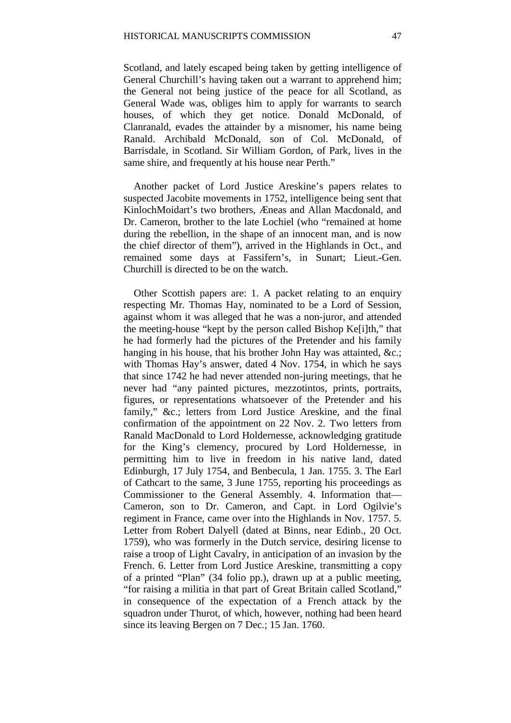Scotland, and lately escaped being taken by getting intelligence of General Churchill's having taken out a warrant to apprehend him; the General not being justice of the peace for all Scotland, as General Wade was, obliges him to apply for warrants to search houses, of which they get notice. Donald McDonald, of Clanranald, evades the attainder by a misnomer, his name being Ranald. Archibald McDonald, son of Col. McDonald, of Barrisdale, in Scotland. Sir William Gordon, of Park, lives in the same shire, and frequently at his house near Perth."

Another packet of Lord Justice Areskine's papers relates to suspected Jacobite movements in 1752, intelligence being sent that KinlochMoidart's two brothers, Æneas and Allan Macdonald, and Dr. Cameron, brother to the late Lochiel (who "remained at home during the rebellion, in the shape of an innocent man, and is now the chief director of them"), arrived in the Highlands in Oct., and remained some days at Fassifern's, in Sunart; Lieut.-Gen. Churchill is directed to be on the watch.

Other Scottish papers are: 1. A packet relating to an enquiry respecting Mr. Thomas Hay, nominated to be a Lord of Session, against whom it was alleged that he was a non-juror, and attended the meeting-house "kept by the person called Bishop Ke[i]th," that he had formerly had the pictures of the Pretender and his family hanging in his house, that his brother John Hay was attainted, &c.; with Thomas Hay's answer, dated 4 Nov. 1754, in which he says that since 1742 he had never attended non-juring meetings, that he never had "any painted pictures, mezzotintos, prints, portraits, figures, or representations whatsoever of the Pretender and his family," &c.; letters from Lord Justice Areskine, and the final confirmation of the appointment on 22 Nov. 2. Two letters from Ranald MacDonald to Lord Holdernesse, acknowledging gratitude for the King's clemency, procured by Lord Holdernesse, in permitting him to live in freedom in his native land, dated Edinburgh, 17 July 1754, and Benbecula, 1 Jan. 1755. 3. The Earl of Cathcart to the same, 3 June 1755, reporting his proceedings as Commissioner to the General Assembly. 4. Information that— Cameron, son to Dr. Cameron, and Capt. in Lord Ogilvie's regiment in France, came over into the Highlands in Nov. 1757. 5. Letter from Robert Dalyell (dated at Binns, near Edinb., 20 Oct. 1759), who was formerly in the Dutch service, desiring license to raise a troop of Light Cavalry, in anticipation of an invasion by the French. 6. Letter from Lord Justice Areskine, transmitting a copy of a printed "Plan" (34 folio pp.), drawn up at a public meeting, "for raising a militia in that part of Great Britain called Scotland," in consequence of the expectation of a French attack by the squadron under Thurot, of which, however, nothing had been heard since its leaving Bergen on 7 Dec.; 15 Jan. 1760.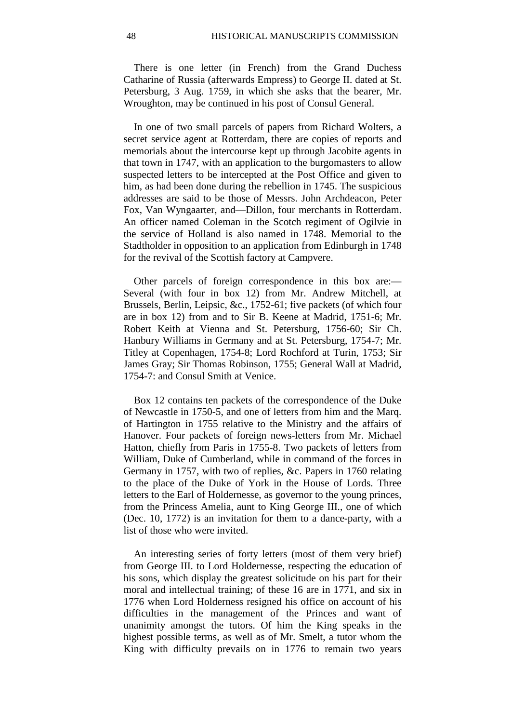There is one letter (in French) from the Grand Duchess Catharine of Russia (afterwards Empress) to George II. dated at St. Petersburg, 3 Aug. 1759, in which she asks that the bearer, Mr. Wroughton, may be continued in his post of Consul General.

In one of two small parcels of papers from Richard Wolters, a secret service agent at Rotterdam, there are copies of reports and memorials about the intercourse kept up through Jacobite agents in that town in 1747, with an application to the burgomasters to allow suspected letters to be intercepted at the Post Office and given to him, as had been done during the rebellion in 1745. The suspicious addresses are said to be those of Messrs. John Archdeacon, Peter Fox, Van Wyngaarter, and—Dillon, four merchants in Rotterdam. An officer named Coleman in the Scotch regiment of Ogilvie in the service of Holland is also named in 1748. Memorial to the Stadtholder in opposition to an application from Edinburgh in 1748 for the revival of the Scottish factory at Campvere.

Other parcels of foreign correspondence in this box are:— Several (with four in box 12) from Mr. Andrew Mitchell, at Brussels, Berlin, Leipsic, &c., 1752-61; five packets (of which four are in box 12) from and to Sir B. Keene at Madrid, 1751-6; Mr. Robert Keith at Vienna and St. Petersburg, 1756-60; Sir Ch. Hanbury Williams in Germany and at St. Petersburg, 1754-7; Mr. Titley at Copenhagen, 1754-8; Lord Rochford at Turin, 1753; Sir James Gray; Sir Thomas Robinson, 1755; General Wall at Madrid, 1754-7: and Consul Smith at Venice.

Box 12 contains ten packets of the correspondence of the Duke of Newcastle in 1750-5, and one of letters from him and the Marq. of Hartington in 1755 relative to the Ministry and the affairs of Hanover. Four packets of foreign news-letters from Mr. Michael Hatton, chiefly from Paris in 1755-8. Two packets of letters from William, Duke of Cumberland, while in command of the forces in Germany in 1757, with two of replies, &c. Papers in 1760 relating to the place of the Duke of York in the House of Lords. Three letters to the Earl of Holdernesse, as governor to the young princes, from the Princess Amelia, aunt to King George III., one of which (Dec. 10, 1772) is an invitation for them to a dance-party, with a list of those who were invited.

An interesting series of forty letters (most of them very brief) from George III. to Lord Holdernesse, respecting the education of his sons, which display the greatest solicitude on his part for their moral and intellectual training; of these 16 are in 1771, and six in 1776 when Lord Holderness resigned his office on account of his difficulties in the management of the Princes and want of unanimity amongst the tutors. Of him the King speaks in the highest possible terms, as well as of Mr. Smelt, a tutor whom the King with difficulty prevails on in 1776 to remain two years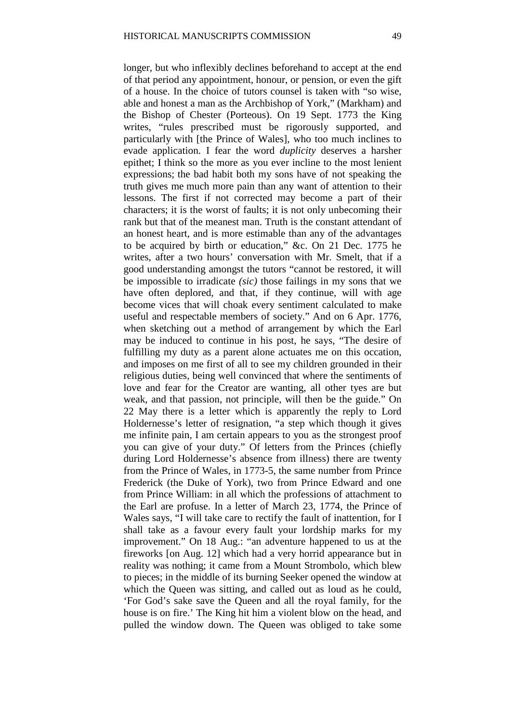longer, but who inflexibly declines beforehand to accept at the end of that period any appointment, honour, or pension, or even the gift of a house. In the choice of tutors counsel is taken with "so wise, able and honest a man as the Archbishop of York," (Markham) and the Bishop of Chester (Porteous). On 19 Sept. 1773 the King writes, "rules prescribed must be rigorously supported, and particularly with [the Prince of Wales], who too much inclines to evade application. I fear the word *duplicity* deserves a harsher epithet; I think so the more as you ever incline to the most lenient expressions; the bad habit both my sons have of not speaking the truth gives me much more pain than any want of attention to their lessons. The first if not corrected may become a part of their characters; it is the worst of faults; it is not only unbecoming their rank but that of the meanest man. Truth is the constant attendant of an honest heart, and is more estimable than any of the advantages to be acquired by birth or education," &c. On 21 Dec. 1775 he writes, after a two hours' conversation with Mr. Smelt, that if a good understanding amongst the tutors "cannot be restored, it will be impossible to irradicate *(sic)* those failings in my sons that we have often deplored, and that, if they continue, will with age become vices that will choak every sentiment calculated to make useful and respectable members of society." And on 6 Apr. 1776, when sketching out a method of arrangement by which the Earl may be induced to continue in his post, he says, "The desire of fulfilling my duty as a parent alone actuates me on this occation, and imposes on me first of all to see my children grounded in their religious duties, being well convinced that where the sentiments of love and fear for the Creator are wanting, all other tyes are but weak, and that passion, not principle, will then be the guide." On 22 May there is a letter which is apparently the reply to Lord Holdernesse's letter of resignation, "a step which though it gives me infinite pain, I am certain appears to you as the strongest proof you can give of your duty." Of letters from the Princes (chiefly during Lord Holdernesse's absence from illness) there are twenty from the Prince of Wales, in 1773-5, the same number from Prince Frederick (the Duke of York), two from Prince Edward and one from Prince William: in all which the professions of attachment to the Earl are profuse. In a letter of March 23, 1774, the Prince of Wales says, "I will take care to rectify the fault of inattention, for I shall take as a favour every fault your lordship marks for my improvement." On 18 Aug.: "an adventure happened to us at the fireworks [on Aug. 12] which had a very horrid appearance but in reality was nothing; it came from a Mount Strombolo, which blew to pieces; in the middle of its burning Seeker opened the window at which the Queen was sitting, and called out as loud as he could, 'For God's sake save the Queen and all the royal family, for the house is on fire.' The King hit him a violent blow on the head, and pulled the window down. The Queen was obliged to take some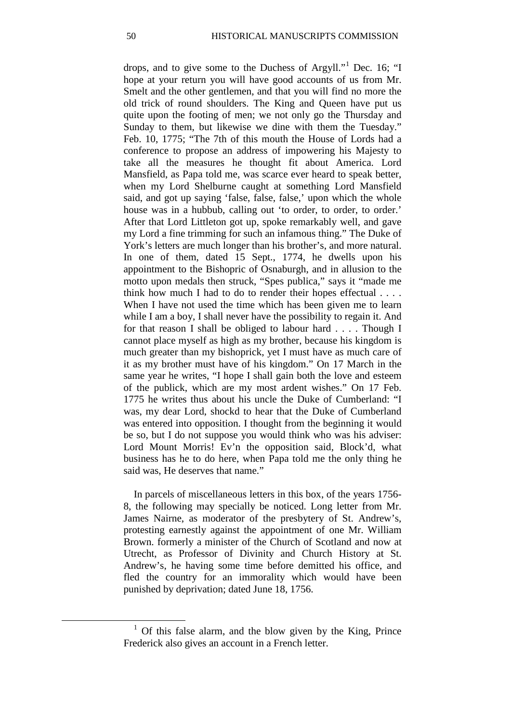drops, and to give some to the Duchess of Argyll."[1](#page-9-0) Dec. 16; "I hope at your return you will have good accounts of us from Mr. Smelt and the other gentlemen, and that you will find no more the old trick of round shoulders. The King and Queen have put us quite upon the footing of men; we not only go the Thursday and Sunday to them, but likewise we dine with them the Tuesday." Feb. 10, 1775; "The 7th of this mouth the House of Lords had a conference to propose an address of impowering his Majesty to take all the measures he thought fit about America. Lord Mansfield, as Papa told me, was scarce ever heard to speak better, when my Lord Shelburne caught at something Lord Mansfield said, and got up saying 'false, false, false,' upon which the whole house was in a hubbub, calling out 'to order, to order, to order.' After that Lord Littleton got up, spoke remarkably well, and gave my Lord a fine trimming for such an infamous thing." The Duke of York's letters are much longer than his brother's, and more natural. In one of them, dated 15 Sept., 1774, he dwells upon his appointment to the Bishopric of Osnaburgh, and in allusion to the motto upon medals then struck, "Spes publica," says it "made me think how much I had to do to render their hopes effectual . . . . When I have not used the time which has been given me to learn while I am a boy, I shall never have the possibility to regain it. And for that reason I shall be obliged to labour hard . . . . Though I cannot place myself as high as my brother, because his kingdom is much greater than my bishoprick, yet I must have as much care of it as my brother must have of his kingdom." On 17 March in the same year he writes, "I hope I shall gain both the love and esteem of the publick, which are my most ardent wishes." On 17 Feb. 1775 he writes thus about his uncle the Duke of Cumberland: "I was, my dear Lord, shockd to hear that the Duke of Cumberland was entered into opposition. I thought from the beginning it would be so, but I do not suppose you would think who was his adviser: Lord Mount Morris! Ev'n the opposition said, Block'd, what business has he to do here, when Papa told me the only thing he said was, He deserves that name."

In parcels of miscellaneous letters in this box, of the years 1756- 8, the following may specially be noticed. Long letter from Mr. James Nairne, as moderator of the presbytery of St. Andrew's, protesting earnestly against the appointment of one Mr. William Brown. formerly a minister of the Church of Scotland and now at Utrecht, as Professor of Divinity and Church History at St. Andrew's, he having some time before demitted his office, and fled the country for an immorality which would have been punished by deprivation; dated June 18, 1756.

<span id="page-9-0"></span><sup>&</sup>lt;sup>1</sup> Of this false alarm, and the blow given by the King, Prince Frederick also gives an account in a French letter.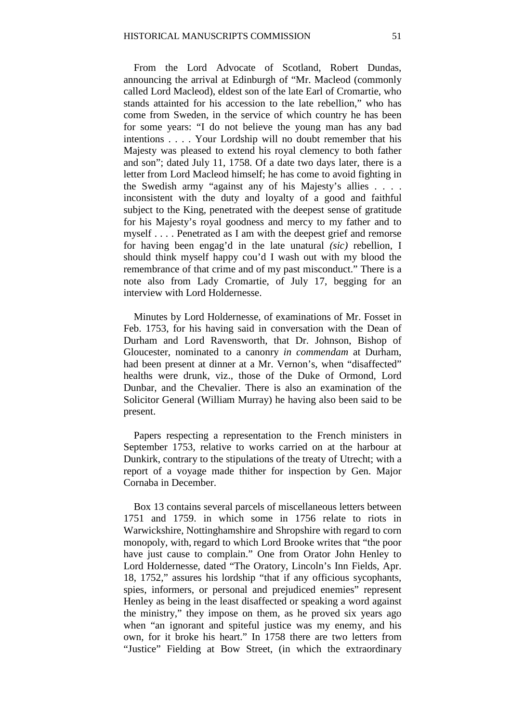From the Lord Advocate of Scotland, Robert Dundas, announcing the arrival at Edinburgh of "Mr. Macleod (commonly called Lord Macleod), eldest son of the late Earl of Cromartie, who stands attainted for his accession to the late rebellion," who has come from Sweden, in the service of which country he has been for some years: "I do not believe the young man has any bad intentions . . . . Your Lordship will no doubt remember that his Majesty was pleased to extend his royal clemency to both father and son"; dated July 11, 1758. Of a date two days later, there is a letter from Lord Macleod himself; he has come to avoid fighting in the Swedish army "against any of his Majesty's allies . . . . inconsistent with the duty and loyalty of a good and faithful subject to the King, penetrated with the deepest sense of gratitude for his Majesty's royal goodness and mercy to my father and to myself . . . . Penetrated as I am with the deepest grief and remorse for having been engag'd in the late unatural *(sic)* rebellion, I should think myself happy cou'd I wash out with my blood the remembrance of that crime and of my past misconduct." There is a note also from Lady Cromartie, of July 17, begging for an interview with Lord Holdernesse.

Minutes by Lord Holdernesse, of examinations of Mr. Fosset in Feb. 1753, for his having said in conversation with the Dean of Durham and Lord Ravensworth, that Dr. Johnson, Bishop of Gloucester, nominated to a canonry *in commendam* at Durham, had been present at dinner at a Mr. Vernon's, when "disaffected" healths were drunk, viz., those of the Duke of Ormond, Lord Dunbar, and the Chevalier. There is also an examination of the Solicitor General (William Murray) he having also been said to be present.

Papers respecting a representation to the French ministers in September 1753, relative to works carried on at the harbour at Dunkirk, contrary to the stipulations of the treaty of Utrecht; with a report of a voyage made thither for inspection by Gen. Major Cornaba in December.

Box 13 contains several parcels of miscellaneous letters between 1751 and 1759. in which some in 1756 relate to riots in Warwickshire, Nottinghamshire and Shropshire with regard to corn monopoly, with, regard to which Lord Brooke writes that "the poor have just cause to complain." One from Orator John Henley to Lord Holdernesse, dated "The Oratory, Lincoln's Inn Fields, Apr. 18, 1752," assures his lordship "that if any officious sycophants, spies, informers, or personal and prejudiced enemies" represent Henley as being in the least disaffected or speaking a word against the ministry," they impose on them, as he proved six years ago when "an ignorant and spiteful justice was my enemy, and his own, for it broke his heart." In 1758 there are two letters from "Justice" Fielding at Bow Street, (in which the extraordinary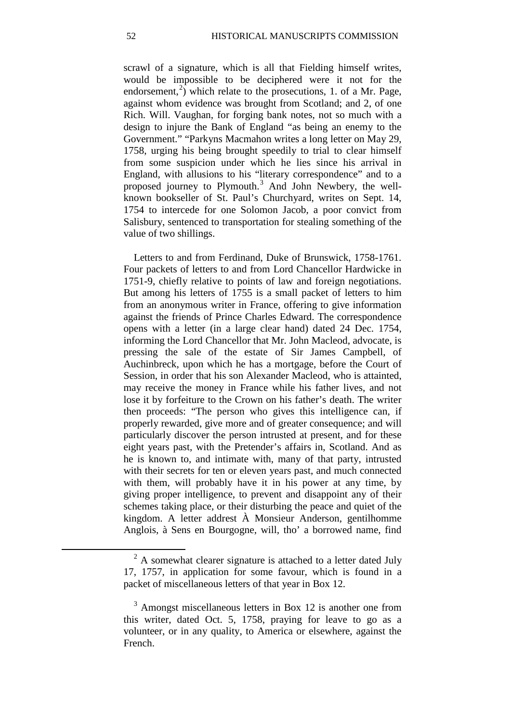scrawl of a signature, which is all that Fielding himself writes, would be impossible to be deciphered were it not for the endorsement,<sup>[2](#page-11-0)</sup>) which relate to the prosecutions, 1. of a Mr. Page, against whom evidence was brought from Scotland; and 2, of one Rich. Will. Vaughan, for forging bank notes, not so much with a design to injure the Bank of England "as being an enemy to the Government." "Parkyns Macmahon writes a long letter on May 29, 1758, urging his being brought speedily to trial to clear himself from some suspicion under which he lies since his arrival in England, with allusions to his "literary correspondence" and to a proposed journey to Plymouth.[3](#page-11-1) And John Newbery, the wellknown bookseller of St. Paul's Churchyard, writes on Sept. 14, 1754 to intercede for one Solomon Jacob, a poor convict from Salisbury, sentenced to transportation for stealing something of the value of two shillings.

Letters to and from Ferdinand, Duke of Brunswick, 1758-1761. Four packets of letters to and from Lord Chancellor Hardwicke in 1751-9, chiefly relative to points of law and foreign negotiations. But among his letters of 1755 is a small packet of letters to him from an anonymous writer in France, offering to give information against the friends of Prince Charles Edward. The correspondence opens with a letter (in a large clear hand) dated 24 Dec. 1754, informing the Lord Chancellor that Mr. John Macleod, advocate, is pressing the sale of the estate of Sir James Campbell, of Auchinbreck, upon which he has a mortgage, before the Court of Session, in order that his son Alexander Macleod, who is attainted, may receive the money in France while his father lives, and not lose it by forfeiture to the Crown on his father's death. The writer then proceeds: "The person who gives this intelligence can, if properly rewarded, give more and of greater consequence; and will particularly discover the person intrusted at present, and for these eight years past, with the Pretender's affairs in, Scotland. And as he is known to, and intimate with, many of that party, intrusted with their secrets for ten or eleven years past, and much connected with them, will probably have it in his power at any time, by giving proper intelligence, to prevent and disappoint any of their schemes taking place, or their disturbing the peace and quiet of the kingdom. A letter addrest À Monsieur Anderson, gentilhomme Anglois, à Sens en Bourgogne, will, tho' a borrowed name, find

<span id="page-11-0"></span> $<sup>2</sup>$  A somewhat clearer signature is attached to a letter dated July</sup> 17, 1757, in application for some favour, which is found in a packet of miscellaneous letters of that year in Box 12.

<span id="page-11-1"></span> $3$  Amongst miscellaneous letters in Box 12 is another one from this writer, dated Oct. 5, 1758, praying for leave to go as a volunteer, or in any quality, to America or elsewhere, against the French.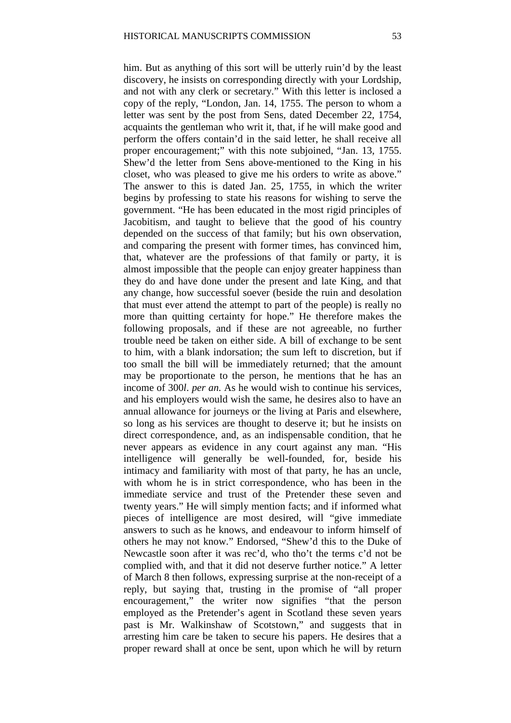him. But as anything of this sort will be utterly ruin'd by the least discovery, he insists on corresponding directly with your Lordship, and not with any clerk or secretary." With this letter is inclosed a copy of the reply, "London, Jan. 14, 1755. The person to whom a letter was sent by the post from Sens, dated December 22, 1754, acquaints the gentleman who writ it, that, if he will make good and perform the offers contain'd in the said letter, he shall receive all proper encouragement;" with this note subjoined, "Jan. 13, 1755. Shew'd the letter from Sens above-mentioned to the King in his closet, who was pleased to give me his orders to write as above." The answer to this is dated Jan. 25, 1755, in which the writer begins by professing to state his reasons for wishing to serve the government. "He has been educated in the most rigid principles of Jacobitism, and taught to believe that the good of his country depended on the success of that family; but his own observation, and comparing the present with former times, has convinced him, that, whatever are the professions of that family or party, it is almost impossible that the people can enjoy greater happiness than they do and have done under the present and late King, and that any change, how successful soever (beside the ruin and desolation that must ever attend the attempt to part of the people) is really no more than quitting certainty for hope." He therefore makes the following proposals, and if these are not agreeable, no further trouble need be taken on either side. A bill of exchange to be sent to him, with a blank indorsation; the sum left to discretion, but if too small the bill will be immediately returned; that the amount may be proportionate to the person, he mentions that he has an income of 300*l*. *per an.* As he would wish to continue his services, and his employers would wish the same, he desires also to have an annual allowance for journeys or the living at Paris and elsewhere, so long as his services are thought to deserve it; but he insists on direct correspondence, and, as an indispensable condition, that he never appears as evidence in any court against any man. "His intelligence will generally be well-founded, for, beside his intimacy and familiarity with most of that party, he has an uncle, with whom he is in strict correspondence, who has been in the immediate service and trust of the Pretender these seven and twenty years." He will simply mention facts; and if informed what pieces of intelligence are most desired, will "give immediate answers to such as he knows, and endeavour to inform himself of others he may not know." Endorsed, "Shew'd this to the Duke of Newcastle soon after it was rec'd, who tho't the terms c'd not be complied with, and that it did not deserve further notice." A letter of March 8 then follows, expressing surprise at the non-receipt of a reply, but saying that, trusting in the promise of "all proper encouragement," the writer now signifies "that the person employed as the Pretender's agent in Scotland these seven years past is Mr. Walkinshaw of Scotstown," and suggests that in arresting him care be taken to secure his papers. He desires that a proper reward shall at once be sent, upon which he will by return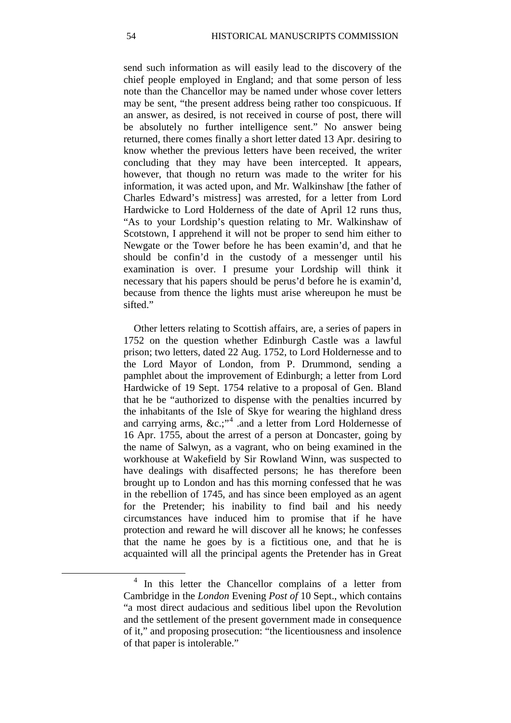send such information as will easily lead to the discovery of the chief people employed in England; and that some person of less note than the Chancellor may be named under whose cover letters may be sent, "the present address being rather too conspicuous. If an answer, as desired, is not received in course of post, there will be absolutely no further intelligence sent." No answer being returned, there comes finally a short letter dated 13 Apr. desiring to know whether the previous letters have been received, the writer concluding that they may have been intercepted. It appears, however, that though no return was made to the writer for his information, it was acted upon, and Mr. Walkinshaw [the father of Charles Edward's mistress] was arrested, for a letter from Lord Hardwicke to Lord Holderness of the date of April 12 runs thus, "As to your Lordship's question relating to Mr. Walkinshaw of Scotstown, I apprehend it will not be proper to send him either to Newgate or the Tower before he has been examin'd, and that he should be confin'd in the custody of a messenger until his examination is over. I presume your Lordship will think it necessary that his papers should be perus'd before he is examin'd, because from thence the lights must arise whereupon he must be sifted."

Other letters relating to Scottish affairs, are, a series of papers in 1752 on the question whether Edinburgh Castle was a lawful prison; two letters, dated 22 Aug. 1752, to Lord Holdernesse and to the Lord Mayor of London, from P. Drummond, sending a pamphlet about the improvement of Edinburgh; a letter from Lord Hardwicke of 19 Sept. 1754 relative to a proposal of Gen. Bland that he be "authorized to dispense with the penalties incurred by the inhabitants of the Isle of Skye for wearing the highland dress and carrying arms, &c.;"<sup>[4](#page-13-0)</sup> .and a letter from Lord Holdernesse of 16 Apr. 1755, about the arrest of a person at Doncaster, going by the name of Salwyn, as a vagrant, who on being examined in the workhouse at Wakefield by Sir Rowland Winn, was suspected to have dealings with disaffected persons; he has therefore been brought up to London and has this morning confessed that he was in the rebellion of 1745, and has since been employed as an agent for the Pretender; his inability to find bail and his needy circumstances have induced him to promise that if he have protection and reward he will discover all he knows; he confesses that the name he goes by is a fictitious one, and that he is acquainted will all the principal agents the Pretender has in Great

<span id="page-13-0"></span><sup>4</sup> In this letter the Chancellor complains of a letter from Cambridge in the *London* Evening *Post of* 10 Sept., which contains "a most direct audacious and seditious libel upon the Revolution and the settlement of the present government made in consequence of it," and proposing prosecution: "the licentiousness and insolence of that paper is intolerable."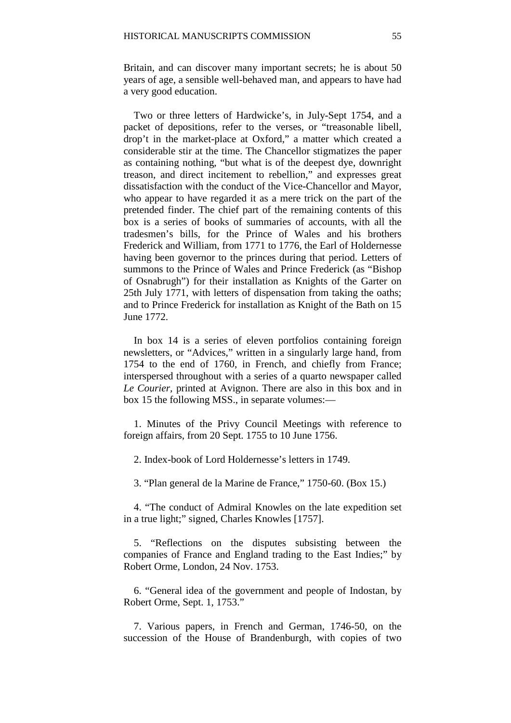Britain, and can discover many important secrets; he is about 50 years of age, a sensible well-behaved man, and appears to have had a very good education.

Two or three letters of Hardwicke's, in July-Sept 1754, and a packet of depositions, refer to the verses, or "treasonable libell, drop't in the market-place at Oxford," a matter which created a considerable stir at the time. The Chancellor stigmatizes the paper as containing nothing, "but what is of the deepest dye, downright treason, and direct incitement to rebellion," and expresses great dissatisfaction with the conduct of the Vice-Chancellor and Mayor, who appear to have regarded it as a mere trick on the part of the pretended finder. The chief part of the remaining contents of this box is a series of books of summaries of accounts, with all the tradesmen's bills, for the Prince of Wales and his brothers Frederick and William, from 1771 to 1776, the Earl of Holdernesse having been governor to the princes during that period. Letters of summons to the Prince of Wales and Prince Frederick (as "Bishop of Osnabrugh") for their installation as Knights of the Garter on 25th July 1771, with letters of dispensation from taking the oaths; and to Prince Frederick for installation as Knight of the Bath on 15 June 1772.

In box 14 is a series of eleven portfolios containing foreign newsletters, or "Advices," written in a singularly large hand, from 1754 to the end of 1760, in French, and chiefly from France; interspersed throughout with a series of a quarto newspaper called *Le Courier,* printed at Avignon. There are also in this box and in box 15 the following MSS., in separate volumes:—

1. Minutes of the Privy Council Meetings with reference to foreign affairs, from 20 Sept. 1755 to 10 June 1756.

2. Index-book of Lord Holdernesse's letters in 1749.

3. "Plan general de la Marine de France," 1750-60. (Box 15.)

4. "The conduct of Admiral Knowles on the late expedition set in a true light;" signed, Charles Knowles [1757].

5. "Reflections on the disputes subsisting between the companies of France and England trading to the East Indies;" by Robert Orme, London, 24 Nov. 1753.

6. "General idea of the government and people of Indostan, by Robert Orme, Sept. 1, 1753."

7. Various papers, in French and German, 1746-50, on the succession of the House of Brandenburgh, with copies of two